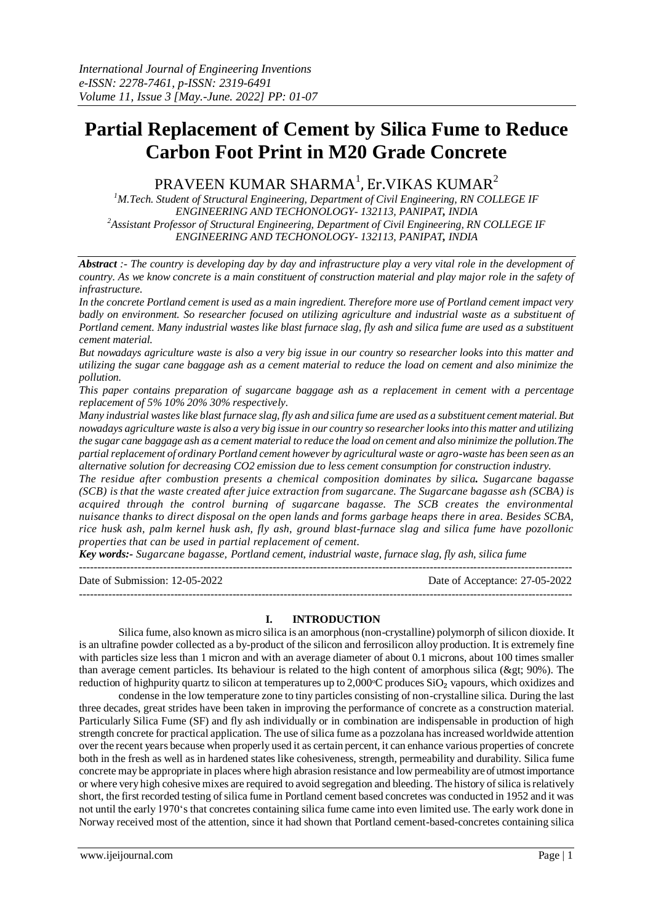# **Partial Replacement of Cement by Silica Fume to Reduce Carbon Foot Print in M20 Grade Concrete**

 $\mathsf{PRAVEEN}$  KUMAR SHARMA $^1$ , Er.VIKAS KUMAR $^2$ 

<sup>1</sup>*M.Tech. Student of Structural Engineering, Department of Civil Engineering, RN COLLEGE IF ENGINEERING AND TECHONOLOGY- 132113, PANIPAT, INDIA <sup>2</sup>Assistant Professor of Structural Engineering, Department of Civil Engineering, RN COLLEGE IF ENGINEERING AND TECHONOLOGY- 132113, PANIPAT, INDIA*

*Abstract :- The country is developing day by day and infrastructure play a very vital role in the development of country. As we know concrete is a main constituent of construction material and play major role in the safety of infrastructure.*

*In the concrete Portland cement is used as a main ingredient. Therefore more use of Portland cement impact very badly on environment. So researcher focused on utilizing agriculture and industrial waste as a substituent of Portland cement. Many industrial wastes like blast furnace slag, fly ash and silica fume are used as a substituent cement material.*

*But nowadays agriculture waste is also a very big issue in our country so researcher looks into this matter and utilizing the sugar cane baggage ash as a cement material to reduce the load on cement and also minimize the pollution.*

*This paper contains preparation of sugarcane baggage ash as a replacement in cement with a percentage replacement of 5% 10% 20% 30% respectively.*

*Many industrial wastes like blast furnace slag, fly ash and silica fume are used as a substituent cement material. But nowadays agriculture waste is also a very big issue in our country so researcher looks into this matter and utilizing the sugar cane baggage ash as a cement material to reduce the load on cement and also minimize the pollution.The partial replacement of ordinary Portland cement however by agricultural waste or agro-waste has been seen as an alternative solution for decreasing CO2 emission due to less cement consumption for construction industry.*

*The residue after combustion presents a chemical composition dominates by silica. Sugarcane bagasse (SCB) is that the waste created after juice extraction from sugarcane. The Sugarcane bagasse ash (SCBA) is acquired through the control burning of sugarcane bagasse. The SCB creates the environmental nuisance thanks to direct disposal on the open lands and forms garbage heaps there in area. Besides SCBA, rice husk ash, palm kernel husk ash, fly ash, ground blast-furnace slag and silica fume have pozollonic properties that can be used in partial replacement of cement.* 

*Key words:- Sugarcane bagasse, Portland cement, industrial waste, furnace slag, fly ash, silica fume*

---------------------------------------------------------------------------------------------------------------------------------------

---------------------------------------------------------------------------------------------------------------------------------------

Date of Submission: 12-05-2022 Date of Acceptance: 27-05-2022

#### **I. INTRODUCTION**

Silica fume, also known as micro silica is an amorphous (non-crystalline) polymorph of silicon dioxide. It is an ultrafine powder collected as a by-product of the silicon and ferrosilicon alloy production. It is extremely fine with particles size less than 1 micron and with an average diameter of about 0.1 microns, about 100 times smaller than average cement particles. Its behaviour is related to the high content of amorphous silica ( $\>$  90%). The reduction of highpurity quartz to silicon at temperatures up to  $2,000^{\circ}$ C produces  $SiO<sub>2</sub>$  vapours, which oxidizes and

condense in the low temperature zone to tiny particles consisting of non-crystalline silica. During the last three decades, great strides have been taken in improving the performance of concrete as a construction material. Particularly Silica Fume (SF) and fly ash individually or in combination are indispensable in production of high strength concrete for practical application. The use of silica fume as a pozzolana has increased worldwide attention over the recent years because when properly used it as certain percent, it can enhance various properties of concrete both in the fresh as well as in hardened states like cohesiveness, strength, permeability and durability. Silica fume concrete may be appropriate in places where high abrasion resistance and low permeability are of utmost importance or where very high cohesive mixes are required to avoid segregation and bleeding. The history of silica is relatively short, the first recorded testing of silica fume in Portland cement based concretes was conducted in 1952 and it was not until the early 1970's that concretes containing silica fume came into even limited use. The early work done in Norway received most of the attention, since it had shown that Portland cement-based-concretes containing silica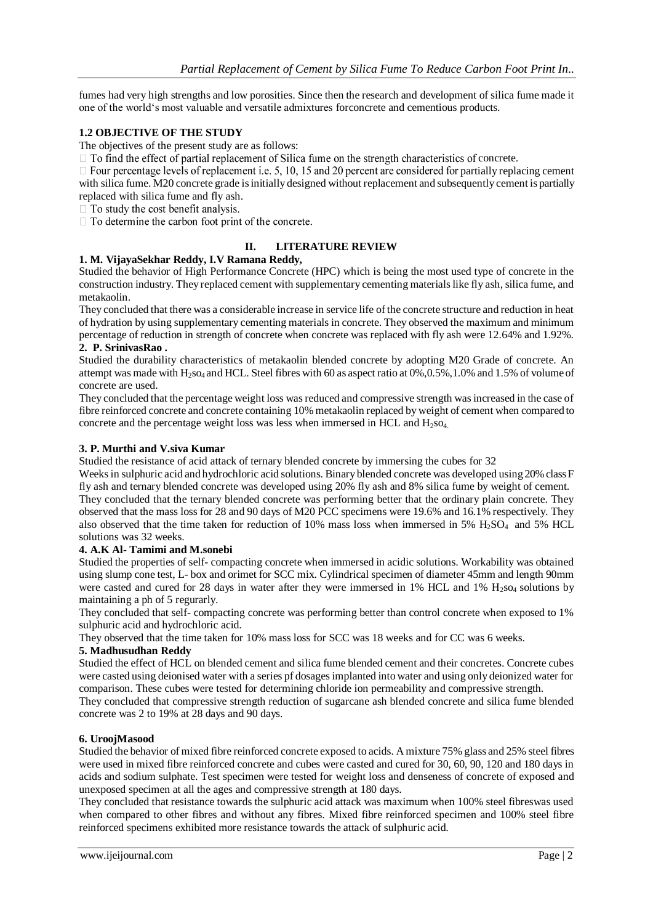fumes had very high strengths and low porosities. Since then the research and development of silica fume made it one of the world's most valuable and versatile admixtures forconcrete and cementious products.

# **1.2 OBJECTIVE OF THE STUDY**

The objectives of the present study are as follows:

 $\Box$  To find the effect of partial replacement of Silica fume on the strength characteristics of concrete.

 $\Box$  Four percentage levels of replacement i.e. 5, 10, 15 and 20 percent are considered for partially replacing cement with silica fume. M20 concrete grade is initially designed without replacement and subsequently cement is partially replaced with silica fume and fly ash.

 $\Box$  To study the cost benefit analysis.

 $\Box$  To determine the carbon foot print of the concrete.

#### **II. LITERATURE REVIEW**

#### **1. M. VijayaSekhar Reddy, I.V Ramana Reddy,**

Studied the behavior of High Performance Concrete (HPC) which is being the most used type of concrete in the construction industry. They replaced cement with supplementary cementing materials like fly ash, silica fume, and metakaolin.

They concluded that there was a considerable increase in service life of the concrete structure and reduction in heat of hydration by using supplementary cementing materials in concrete. They observed the maximum and minimum percentage of reduction in strength of concrete when concrete was replaced with fly ash were 12.64% and 1.92%. **2. P. SrinivasRao .** 

Studied the durability characteristics of metakaolin blended concrete by adopting M20 Grade of concrete. An attempt was made with  $H_2$ so<sub>4</sub> and HCL. Steel fibres with 60 as aspect ratio at 0%,0.5%,1.0% and 1.5% of volume of concrete are used.

They concluded that the percentage weight loss was reduced and compressive strength was increased in the case of fibre reinforced concrete and concrete containing 10% metakaolin replaced by weight of cement when compared to concrete and the percentage weight loss was less when immersed in HCL and  $H<sub>2</sub>$ so<sub>4.</sub>

#### **3. P. Murthi and V.siva Kumar**

Studied the resistance of acid attack of ternary blended concrete by immersing the cubes for 32

Weeks in sulphuric acid and hydrochloric acid solutions. Binary blended concrete was developed using 20% class F fly ash and ternary blended concrete was developed using 20% fly ash and 8% silica fume by weight of cement.

They concluded that the ternary blended concrete was performing better that the ordinary plain concrete. They observed that the mass loss for 28 and 90 days of M20 PCC specimens were 19.6% and 16.1% respectively. They also observed that the time taken for reduction of 10% mass loss when immersed in 5%  $H<sub>2</sub>SO<sub>4</sub>$  and 5% HCL solutions was 32 weeks.

#### **4. A.K Al- Tamimi and M.sonebi**

Studied the properties of self- compacting concrete when immersed in acidic solutions. Workability was obtained using slump cone test, L- box and orimet for SCC mix. Cylindrical specimen of diameter 45mm and length 90mm were casted and cured for 28 days in water after they were immersed in 1% HCL and 1%  $H<sub>2</sub>SO<sub>4</sub>$  solutions by maintaining a ph of 5 regurarly.

They concluded that self- compacting concrete was performing better than control concrete when exposed to 1% sulphuric acid and hydrochloric acid.

They observed that the time taken for 10% mass loss for SCC was 18 weeks and for CC was 6 weeks.

#### **5. Madhusudhan Reddy**

Studied the effect of HCL on blended cement and silica fume blended cement and their concretes. Concrete cubes were casted using deionised water with a series pf dosages implanted into water and using only deionized water for comparison. These cubes were tested for determining chloride ion permeability and compressive strength.

They concluded that compressive strength reduction of sugarcane ash blended concrete and silica fume blended concrete was 2 to 19% at 28 days and 90 days.

#### **6. UroojMasood**

Studied the behavior of mixed fibre reinforced concrete exposed to acids. A mixture 75% glass and 25% steel fibres were used in mixed fibre reinforced concrete and cubes were casted and cured for 30, 60, 90, 120 and 180 days in acids and sodium sulphate. Test specimen were tested for weight loss and denseness of concrete of exposed and unexposed specimen at all the ages and compressive strength at 180 days.

They concluded that resistance towards the sulphuric acid attack was maximum when 100% steel fibreswas used when compared to other fibres and without any fibres. Mixed fibre reinforced specimen and 100% steel fibre reinforced specimens exhibited more resistance towards the attack of sulphuric acid.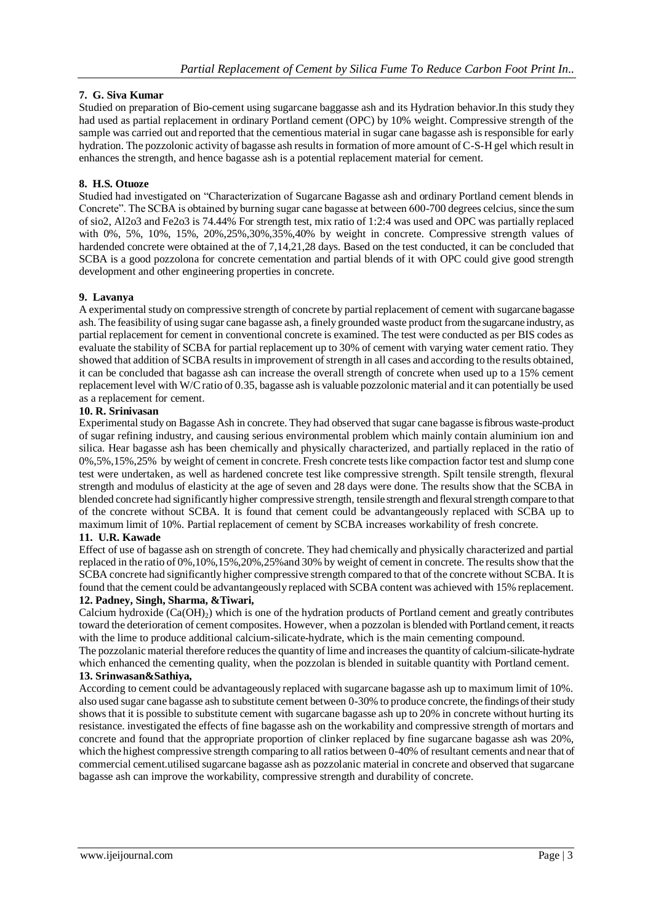# **7. G. Siva Kumar**

Studied on preparation of Bio-cement using sugarcane baggasse ash and its Hydration behavior.In this study they had used as partial replacement in ordinary Portland cement (OPC) by 10% weight. Compressive strength of the sample was carried out and reported that the cementious material in sugar cane bagasse ash is responsible for early hydration. The pozzolonic activity of bagasse ash results in formation of more amount of C-S-H gel which result in enhances the strength, and hence bagasse ash is a potential replacement material for cement.

#### **8. H.S. Otuoze**

Studied had investigated on "Characterization of Sugarcane Bagasse ash and ordinary Portland cement blends in Concrete". The SCBA is obtained by burning sugar cane bagasse at between 600-700 degrees celcius, since the sum of sio2, Al2o3 and Fe2o3 is 74.44% For strength test, mix ratio of 1:2:4 was used and OPC was partially replaced with 0%, 5%, 10%, 15%, 20%,25%,30%,35%,40% by weight in concrete. Compressive strength values of hardended concrete were obtained at the of 7,14,21,28 days. Based on the test conducted, it can be concluded that SCBA is a good pozzolona for concrete cementation and partial blends of it with OPC could give good strength development and other engineering properties in concrete.

#### **9. Lavanya**

A experimental study on compressive strength of concrete by partial replacement of cement with sugarcane bagasse ash. The feasibility of using sugar cane bagasse ash, a finely grounded waste product from the sugarcane industry, as partial replacement for cement in conventional concrete is examined. The test were conducted as per BIS codes as evaluate the stability of SCBA for partial replacement up to 30% of cement with varying water cement ratio. They showed that addition of SCBA results in improvement of strength in all cases and according to the results obtained, it can be concluded that bagasse ash can increase the overall strength of concrete when used up to a 15% cement replacement level with W/C ratio of 0.35, bagasse ash is valuable pozzolonic material and it can potentially be used as a replacement for cement.

#### **10. R. Srinivasan**

Experimental study on Bagasse Ash in concrete. They had observed that sugar cane bagasse is fibrous waste-product of sugar refining industry, and causing serious environmental problem which mainly contain aluminium ion and silica. Hear bagasse ash has been chemically and physically characterized, and partially replaced in the ratio of 0%,5%,15%,25% by weight of cement in concrete. Fresh concrete tests like compaction factor test and slump cone test were undertaken, as well as hardened concrete test like compressive strength. Spilt tensile strength, flexural strength and modulus of elasticity at the age of seven and 28 days were done. The results show that the SCBA in blended concrete had significantly higher compressive strength, tensile strength and flexural strength compare to that of the concrete without SCBA. It is found that cement could be advantangeously replaced with SCBA up to maximum limit of 10%. Partial replacement of cement by SCBA increases workability of fresh concrete.

#### **11. U.R. Kawade**

Effect of use of bagasse ash on strength of concrete. They had chemically and physically characterized and partial replaced in the ratio of 0%,10%,15%,20%,25%and 30% by weight of cement in concrete. The results show that the SCBA concrete had significantly higher compressive strength compared to that of the concrete without SCBA. It is found that the cement could be advantangeously replaced with SCBA content was achieved with 15% replacement.

#### **12. Padney, Singh, Sharma, &Tiwari,**

Calcium hydroxide  $(Ca(OH<sub>2</sub>))$  which is one of the hydration products of Portland cement and greatly contributes toward the deterioration of cement composites. However, when a pozzolan is blended with Portland cement, it reacts with the lime to produce additional calcium-silicate-hydrate, which is the main cementing compound.

The pozzolanic material therefore reduces the quantity of lime and increases the quantity of calcium-silicate-hydrate which enhanced the cementing quality, when the pozzolan is blended in suitable quantity with Portland cement. **13. Srinwasan&Sathiya,** 

According to cement could be advantageously replaced with sugarcane bagasse ash up to maximum limit of 10%. also used sugar cane bagasse ash to substitute cement between 0-30% to produce concrete, the findings of their study shows that it is possible to substitute cement with sugarcane bagasse ash up to 20% in concrete without hurting its resistance. investigated the effects of fine bagasse ash on the workability and compressive strength of mortars and concrete and found that the appropriate proportion of clinker replaced by fine sugarcane bagasse ash was 20%, which the highest compressive strength comparing to all ratios between 0-40% of resultant cements and near that of commercial cement.utilised sugarcane bagasse ash as pozzolanic material in concrete and observed that sugarcane bagasse ash can improve the workability, compressive strength and durability of concrete.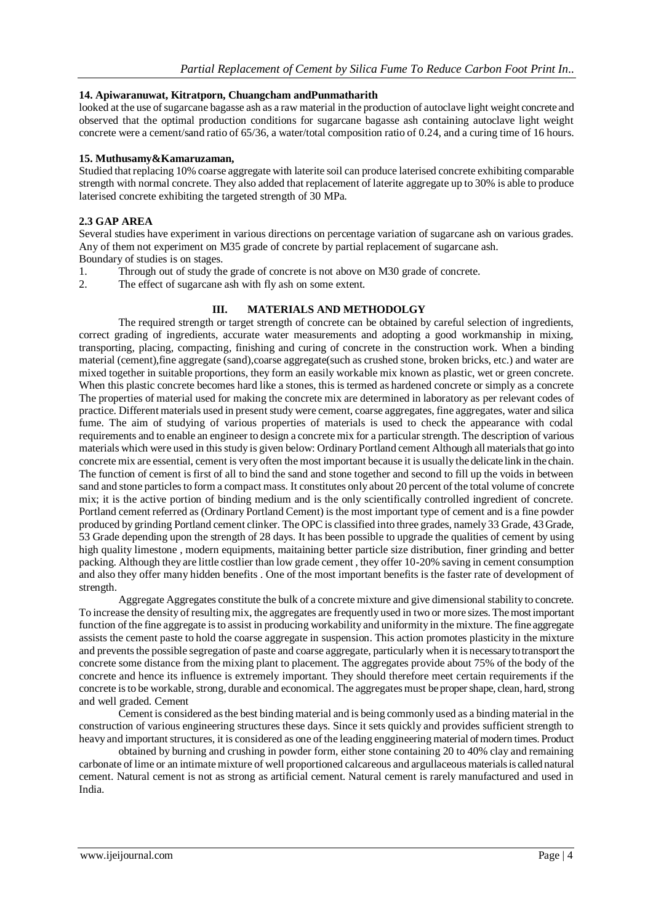# **14. Apiwaranuwat, Kitratporn, Chuangcham andPunmatharith**

looked at the use of sugarcane bagasse ash as a raw material in the production of autoclave light weight concrete and observed that the optimal production conditions for sugarcane bagasse ash containing autoclave light weight concrete were a cement/sand ratio of 65/36, a water/total composition ratio of 0.24, and a curing time of 16 hours.

#### **15. Muthusamy&Kamaruzaman,**

Studied that replacing 10% coarse aggregate with laterite soil can produce laterised concrete exhibiting comparable strength with normal concrete. They also added that replacement of laterite aggregate up to 30% is able to produce laterised concrete exhibiting the targeted strength of 30 MPa.

# **2.3 GAP AREA**

Several studies have experiment in various directions on percentage variation of sugarcane ash on various grades. Any of them not experiment on M35 grade of concrete by partial replacement of sugarcane ash.

Boundary of studies is on stages.

1. Through out of study the grade of concrete is not above on M30 grade of concrete.

2. The effect of sugarcane ash with fly ash on some extent.

# **III. MATERIALS AND METHODOLGY**

The required strength or target strength of concrete can be obtained by careful selection of ingredients, correct grading of ingredients, accurate water measurements and adopting a good workmanship in mixing, transporting, placing, compacting, finishing and curing of concrete in the construction work. When a binding material (cement),fine aggregate (sand),coarse aggregate(such as crushed stone, broken bricks, etc.) and water are mixed together in suitable proportions, they form an easily workable mix known as plastic, wet or green concrete. When this plastic concrete becomes hard like a stones, this is termed as hardened concrete or simply as a concrete The properties of material used for making the concrete mix are determined in laboratory as per relevant codes of practice. Different materials used in present study were cement, coarse aggregates, fine aggregates, water and silica fume. The aim of studying of various properties of materials is used to check the appearance with codal requirements and to enable an engineer to design a concrete mix for a particular strength. The description of various materials which were used in this study is given below: Ordinary Portland cement Although all materials that go into concrete mix are essential, cement is very often the most important because it is usually the delicate link in the chain. The function of cement is first of all to bind the sand and stone together and second to fill up the voids in between sand and stone particles to form a compact mass. It constitutes only about 20 percent of the total volume of concrete mix; it is the active portion of binding medium and is the only scientifically controlled ingredient of concrete. Portland cement referred as (Ordinary Portland Cement) is the most important type of cement and is a fine powder produced by grinding Portland cement clinker. The OPC is classified into three grades, namely 33 Grade, 43 Grade, 53 Grade depending upon the strength of 28 days. It has been possible to upgrade the qualities of cement by using high quality limestone , modern equipments, maitaining better particle size distribution, finer grinding and better packing. Although they are little costlier than low grade cement , they offer 10-20% saving in cement consumption and also they offer many hidden benefits . One of the most important benefits is the faster rate of development of strength.

Aggregate Aggregates constitute the bulk of a concrete mixture and give dimensional stability to concrete. To increase the density of resulting mix, the aggregates are frequently used in two or more sizes. The most important function of the fine aggregate is to assist in producing workability and uniformity in the mixture. The fine aggregate assists the cement paste to hold the coarse aggregate in suspension. This action promotes plasticity in the mixture and prevents the possible segregation of paste and coarse aggregate, particularly when it is necessary to transport the concrete some distance from the mixing plant to placement. The aggregates provide about 75% of the body of the concrete and hence its influence is extremely important. They should therefore meet certain requirements if the concrete is to be workable, strong, durable and economical. The aggregates must be proper shape, clean, hard, strong and well graded. Cement

Cement is considered as the best binding material and is being commonly used as a binding material in the construction of various engineering structures these days. Since it sets quickly and provides sufficient strength to heavy and important structures, it is considered as one of the leading enggineering material of modern times. Product

obtained by burning and crushing in powder form, either stone containing 20 to 40% clay and remaining carbonate of lime or an intimate mixture of well proportioned calcareous and argullaceous materials is called natural cement. Natural cement is not as strong as artificial cement. Natural cement is rarely manufactured and used in India.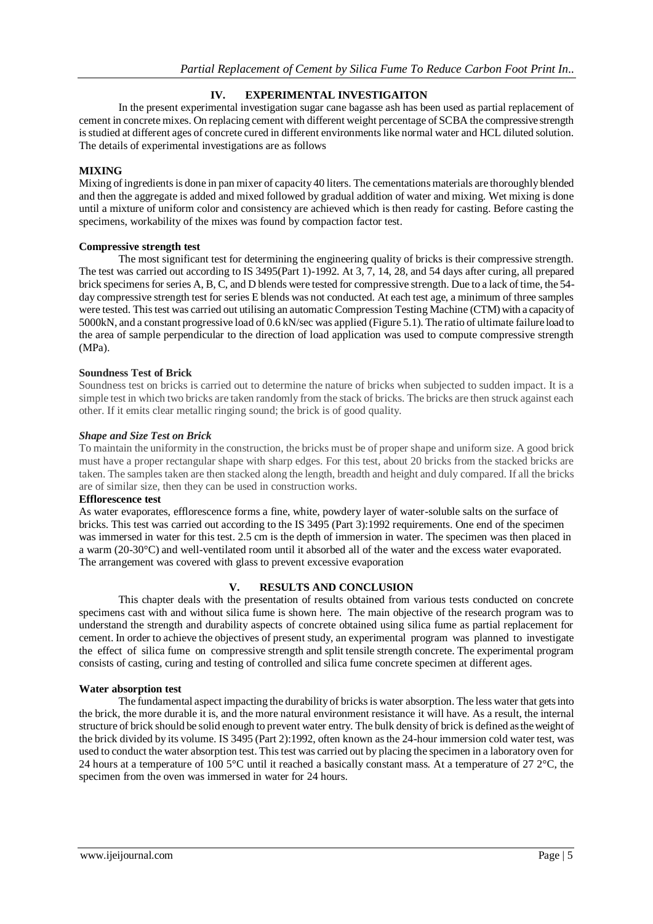# **IV. EXPERIMENTAL INVESTIGAITON**

In the present experimental investigation sugar cane bagasse ash has been used as partial replacement of cement in concrete mixes. On replacing cement with different weight percentage of SCBA the compressive strength is studied at different ages of concrete cured in different environments like normal water and HCL diluted solution. The details of experimental investigations are as follows

# **MIXING**

Mixing of ingredients is done in pan mixer of capacity 40 liters. The cementations materials are thoroughly blended and then the aggregate is added and mixed followed by gradual addition of water and mixing. Wet mixing is done until a mixture of uniform color and consistency are achieved which is then ready for casting. Before casting the specimens, workability of the mixes was found by compaction factor test.

# **Compressive strength test**

The most significant test for determining the engineering quality of bricks is their compressive strength. The test was carried out according to IS 3495(Part 1)-1992. At 3, 7, 14, 28, and 54 days after curing, all prepared brick specimens for series A, B, C, and D blends were tested for compressive strength. Due to a lack of time, the 54 day compressive strength test for series E blends was not conducted. At each test age, a minimum of three samples were tested. This test was carried out utilising an automatic Compression Testing Machine (CTM) with a capacity of 5000kN, and a constant progressive load of 0.6 kN/sec was applied (Figure 5.1). The ratio of ultimate failure load to the area of sample perpendicular to the direction of load application was used to compute compressive strength (MPa).

# **Soundness Test of Brick**

Soundness test on bricks is carried out to determine the nature of bricks when subjected to sudden impact. It is a simple test in which two bricks are taken randomly from the stack of bricks. The bricks are then struck against each other. If it emits clear metallic ringing sound; the brick is of good quality.

# *Shape and Size Test on Brick*

To maintain the uniformity in the construction, the bricks must be of proper shape and uniform size. A good brick must have a proper rectangular shape with sharp edges. For this test, about 20 bricks from the stacked bricks are taken. The samples taken are then stacked along the length, breadth and height and duly compared. If all the bricks are of similar size, then they can be used in construction works.

#### **Efflorescence test**

As water evaporates, efflorescence forms a fine, white, powdery layer of water-soluble salts on the surface of bricks. This test was carried out according to the IS 3495 (Part 3):1992 requirements. One end of the specimen was immersed in water for this test. 2.5 cm is the depth of immersion in water. The specimen was then placed in a warm (20-30°C) and well-ventilated room until it absorbed all of the water and the excess water evaporated. The arrangement was covered with glass to prevent excessive evaporation

#### **V. RESULTS AND CONCLUSION**

This chapter deals with the presentation of results obtained from various tests conducted on concrete specimens cast with and without silica fume is shown here. The main objective of the research program was to understand the strength and durability aspects of concrete obtained using silica fume as partial replacement for cement. In order to achieve the objectives of present study, an experimental program was planned to investigate the effect of silica fume on compressive strength and split tensile strength concrete. The experimental program consists of casting, curing and testing of controlled and silica fume concrete specimen at different ages.

#### **Water absorption test**

The fundamental aspect impacting the durability of bricks is water absorption. The less water that gets into the brick, the more durable it is, and the more natural environment resistance it will have. As a result, the internal structure of brick should be solid enough to prevent water entry. The bulk density of brick is defined as the weight of the brick divided by its volume. IS 3495 (Part 2):1992, often known as the 24-hour immersion cold water test, was used to conduct the water absorption test. This test was carried out by placing the specimen in a laboratory oven for 24 hours at a temperature of 100 5°C until it reached a basically constant mass. At a temperature of 27 2°C, the specimen from the oven was immersed in water for 24 hours.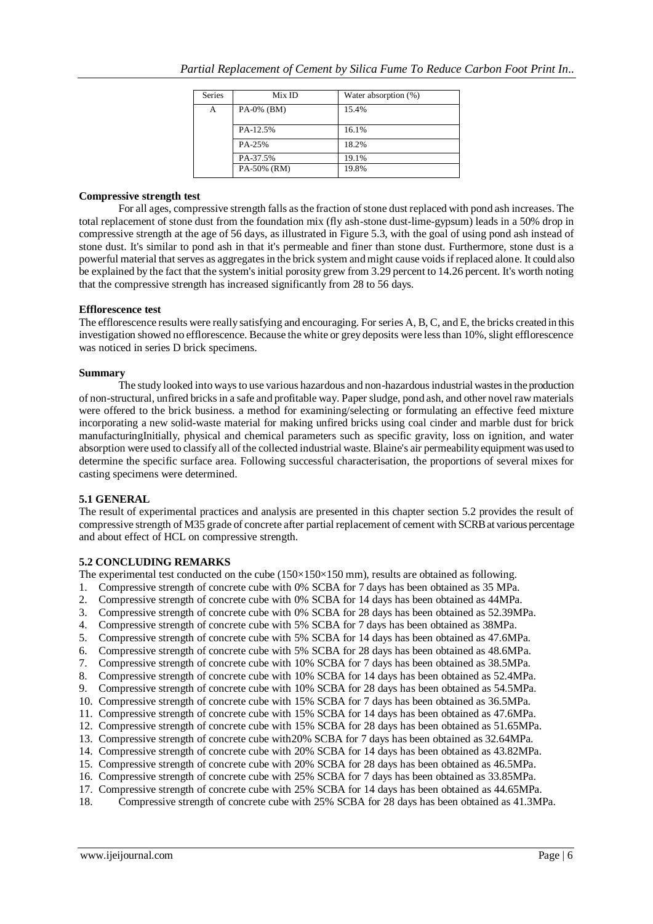| Mix ID        | Water absorption (%) |
|---------------|----------------------|
| $PA-0\%$ (BM) | 15.4%                |
| PA-12.5%      | 16.1%                |
| PA-25%        | 18.2%                |
| PA-37.5%      | 19.1%                |
| PA-50% (RM)   | 19.8%                |
|               |                      |

#### **Compressive strength test**

For all ages, compressive strength falls as the fraction of stone dust replaced with pond ash increases. The total replacement of stone dust from the foundation mix (fly ash-stone dust-lime-gypsum) leads in a 50% drop in compressive strength at the age of 56 days, as illustrated in Figure 5.3, with the goal of using pond ash instead of stone dust. It's similar to pond ash in that it's permeable and finer than stone dust. Furthermore, stone dust is a powerful material that serves as aggregates in the brick system and might cause voids if replaced alone. It could also be explained by the fact that the system's initial porosity grew from 3.29 percent to 14.26 percent. It's worth noting that the compressive strength has increased significantly from 28 to 56 days.

#### **Efflorescence test**

The efflorescence results were really satisfying and encouraging. For series A, B, C, and E, the bricks created in this investigation showed no efflorescence. Because the white or grey deposits were less than 10%, slight efflorescence was noticed in series D brick specimens.

#### **Summary**

The study looked into ways to use various hazardous and non-hazardous industrial wastes in the production of non-structural, unfired bricks in a safe and profitable way. Paper sludge, pond ash, and other novel raw materials were offered to the brick business. a method for examining/selecting or formulating an effective feed mixture incorporating a new solid-waste material for making unfired bricks using coal cinder and marble dust for brick manufacturingInitially, physical and chemical parameters such as specific gravity, loss on ignition, and water absorption were used to classify all of the collected industrial waste. Blaine's air permeability equipment was used to determine the specific surface area. Following successful characterisation, the proportions of several mixes for casting specimens were determined.

#### **5.1 GENERAL**

The result of experimental practices and analysis are presented in this chapter section 5.2 provides the result of compressive strength of M35 grade of concrete after partial replacement of cement with SCRB at various percentage and about effect of HCL on compressive strength.

#### **5.2 CONCLUDING REMARKS**

The experimental test conducted on the cube  $(150\times150\times150$  mm), results are obtained as following.

- 1. Compressive strength of concrete cube with 0% SCBA for 7 days has been obtained as 35 MPa.
- 2. Compressive strength of concrete cube with 0% SCBA for 14 days has been obtained as 44MPa.
- 3. Compressive strength of concrete cube with 0% SCBA for 28 days has been obtained as 52.39MPa.
- 4. Compressive strength of concrete cube with 5% SCBA for 7 days has been obtained as 38MPa.
- 5. Compressive strength of concrete cube with 5% SCBA for 14 days has been obtained as 47.6MPa.
- 6. Compressive strength of concrete cube with 5% SCBA for 28 days has been obtained as 48.6MPa.
- 7. Compressive strength of concrete cube with 10% SCBA for 7 days has been obtained as 38.5MPa.
- 8. Compressive strength of concrete cube with 10% SCBA for 14 days has been obtained as 52.4MPa.
- 9. Compressive strength of concrete cube with 10% SCBA for 28 days has been obtained as 54.5MPa.
- 10. Compressive strength of concrete cube with 15% SCBA for 7 days has been obtained as 36.5MPa.
- 11. Compressive strength of concrete cube with 15% SCBA for 14 days has been obtained as 47.6MPa.
- 12. Compressive strength of concrete cube with 15% SCBA for 28 days has been obtained as 51.65MPa.
- 13. Compressive strength of concrete cube with20% SCBA for 7 days has been obtained as 32.64MPa.
- 14. Compressive strength of concrete cube with 20% SCBA for 14 days has been obtained as 43.82MPa.
- 15. Compressive strength of concrete cube with 20% SCBA for 28 days has been obtained as 46.5MPa.
- 16. Compressive strength of concrete cube with 25% SCBA for 7 days has been obtained as 33.85MPa.
- 17. Compressive strength of concrete cube with 25% SCBA for 14 days has been obtained as 44.65MPa.
- 18. Compressive strength of concrete cube with 25% SCBA for 28 days has been obtained as 41.3MPa.